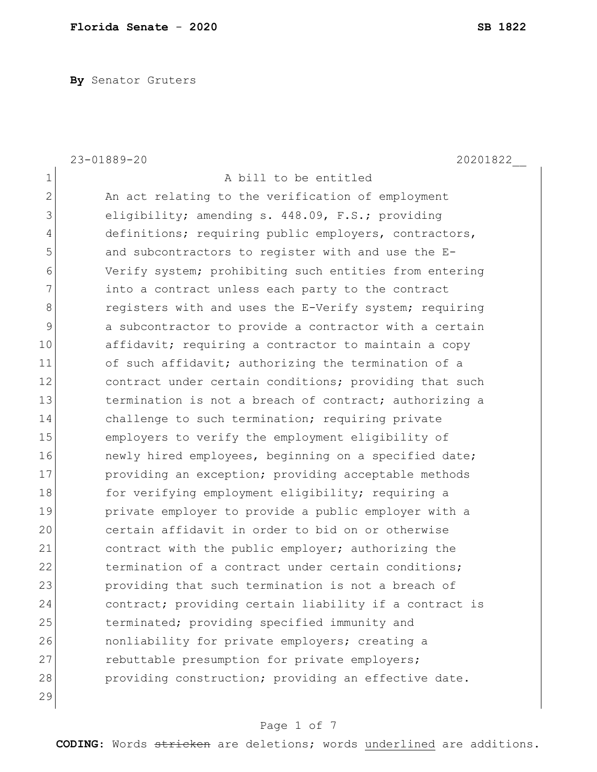**By** Senator Gruters

|                | 23-01889-20<br>20201822                                |
|----------------|--------------------------------------------------------|
| $\mathbf 1$    | A bill to be entitled                                  |
| $\mathbf{2}$   | An act relating to the verification of employment      |
| 3              | eligibility; amending s. 448.09, F.S.; providing       |
| $\overline{4}$ | definitions; requiring public employers, contractors,  |
| 5              | and subcontractors to register with and use the E-     |
| 6              | Verify system; prohibiting such entities from entering |
| 7              | into a contract unless each party to the contract      |
| $\,8\,$        | registers with and uses the E-Verify system; requiring |
| 9              | a subcontractor to provide a contractor with a certain |
| 10             | affidavit; requiring a contractor to maintain a copy   |
| 11             | of such affidavit; authorizing the termination of a    |
| 12             | contract under certain conditions; providing that such |
| 13             | termination is not a breach of contract; authorizing a |
| 14             | challenge to such termination; requiring private       |
| 15             | employers to verify the employment eligibility of      |
| 16             | newly hired employees, beginning on a specified date;  |
| 17             | providing an exception; providing acceptable methods   |
| 18             | for verifying employment eligibility; requiring a      |
| 19             | private employer to provide a public employer with a   |
| 20             | certain affidavit in order to bid on or otherwise      |
| 21             | contract with the public employer; authorizing the     |
| 22             | termination of a contract under certain conditions;    |
| 23             | providing that such termination is not a breach of     |
| 24             | contract; providing certain liability if a contract is |
| 25             | terminated; providing specified immunity and           |
| 26             | nonliability for private employers; creating a         |
| 27             | rebuttable presumption for private employers;          |
| 28             | providing construction; providing an effective date.   |
| 29             |                                                        |

# Page 1 of 7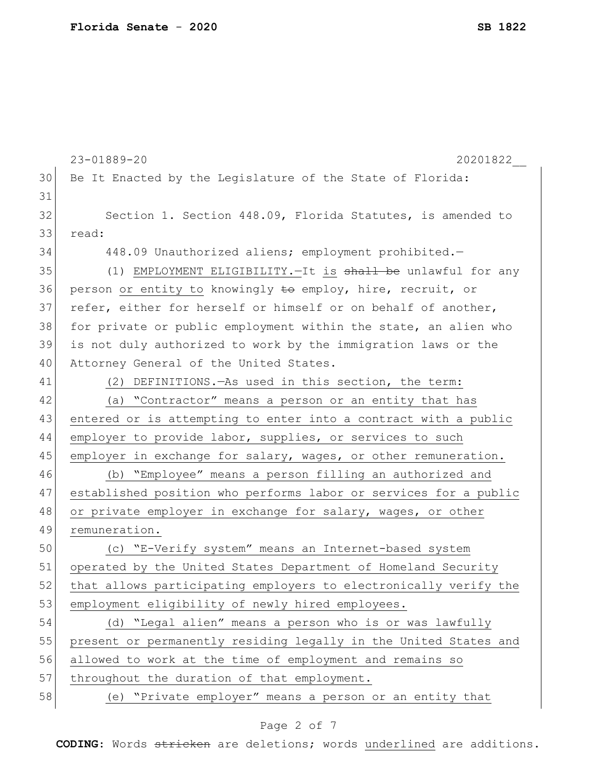23-01889-20 20201822\_\_ 30 Be It Enacted by the Legislature of the State of Florida: 31 32 Section 1. Section 448.09, Florida Statutes, is amended to 33 read: 34 448.09 Unauthorized aliens; employment prohibited.-35 (1) EMPLOYMENT ELIGIBILITY. - It is shall be unlawful for any 36 person or entity to knowingly to employ, hire, recruit, or 37 refer, either for herself or himself or on behalf of another, 38 for private or public employment within the state, an alien who 39 is not duly authorized to work by the immigration laws or the 40 Attorney General of the United States. 41 (2) DEFINITIONS.—As used in this section, the term: 42 (a) "Contractor" means a person or an entity that has 43 entered or is attempting to enter into a contract with a public 44 employer to provide labor, supplies, or services to such 45 employer in exchange for salary, wages, or other remuneration. 46 (b) "Employee" means a person filling an authorized and 47 established position who performs labor or services for a public 48 or private employer in exchange for salary, wages, or other 49 remuneration. 50 (c) "E-Verify system" means an Internet-based system 51 operated by the United States Department of Homeland Security 52 that allows participating employers to electronically verify the 53 employment eligibility of newly hired employees. 54 (d) "Legal alien" means a person who is or was lawfully 55 present or permanently residing legally in the United States and 56 allowed to work at the time of employment and remains so 57 throughout the duration of that employment. 58 (e) "Private employer" means a person or an entity that

## Page 2 of 7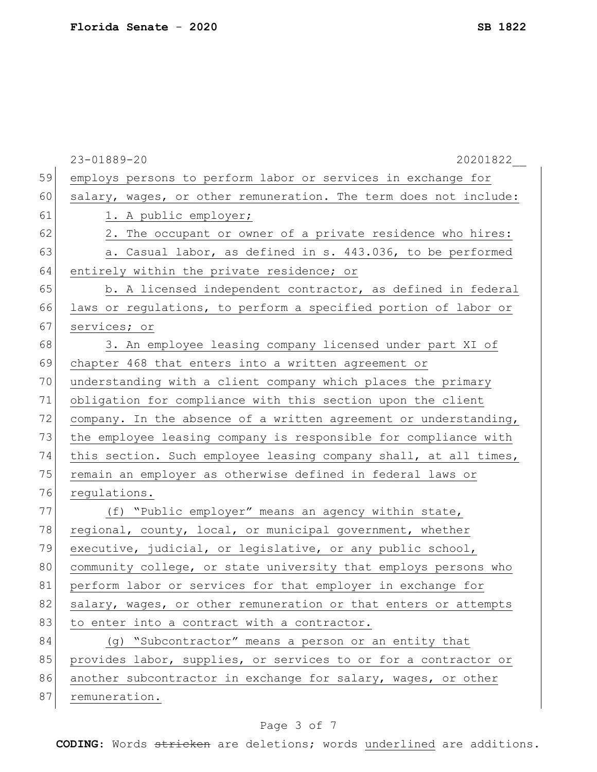| salary, wages, or other remuneration. The term does not include:<br>2. The occupant or owner of a private residence who hires:<br>a. Casual labor, as defined in s. 443.036, to be performed<br>b. A licensed independent contractor, as defined in federal<br>laws or regulations, to perform a specified portion of labor or<br>3. An employee leasing company licensed under part XI of |
|--------------------------------------------------------------------------------------------------------------------------------------------------------------------------------------------------------------------------------------------------------------------------------------------------------------------------------------------------------------------------------------------|
|                                                                                                                                                                                                                                                                                                                                                                                            |
|                                                                                                                                                                                                                                                                                                                                                                                            |
|                                                                                                                                                                                                                                                                                                                                                                                            |
|                                                                                                                                                                                                                                                                                                                                                                                            |
|                                                                                                                                                                                                                                                                                                                                                                                            |
|                                                                                                                                                                                                                                                                                                                                                                                            |
|                                                                                                                                                                                                                                                                                                                                                                                            |
|                                                                                                                                                                                                                                                                                                                                                                                            |
|                                                                                                                                                                                                                                                                                                                                                                                            |
|                                                                                                                                                                                                                                                                                                                                                                                            |
|                                                                                                                                                                                                                                                                                                                                                                                            |
|                                                                                                                                                                                                                                                                                                                                                                                            |
|                                                                                                                                                                                                                                                                                                                                                                                            |
| company. In the absence of a written agreement or understanding,                                                                                                                                                                                                                                                                                                                           |
| the employee leasing company is responsible for compliance with                                                                                                                                                                                                                                                                                                                            |
| this section. Such employee leasing company shall, at all times,                                                                                                                                                                                                                                                                                                                           |
|                                                                                                                                                                                                                                                                                                                                                                                            |
|                                                                                                                                                                                                                                                                                                                                                                                            |
|                                                                                                                                                                                                                                                                                                                                                                                            |
|                                                                                                                                                                                                                                                                                                                                                                                            |
|                                                                                                                                                                                                                                                                                                                                                                                            |
| community college, or state university that employs persons who                                                                                                                                                                                                                                                                                                                            |
|                                                                                                                                                                                                                                                                                                                                                                                            |
|                                                                                                                                                                                                                                                                                                                                                                                            |
| salary, wages, or other remuneration or that enters or attempts                                                                                                                                                                                                                                                                                                                            |
|                                                                                                                                                                                                                                                                                                                                                                                            |
|                                                                                                                                                                                                                                                                                                                                                                                            |
| provides labor, supplies, or services to or for a contractor or                                                                                                                                                                                                                                                                                                                            |
| another subcontractor in exchange for salary, wages, or other                                                                                                                                                                                                                                                                                                                              |
|                                                                                                                                                                                                                                                                                                                                                                                            |

# Page 3 of 7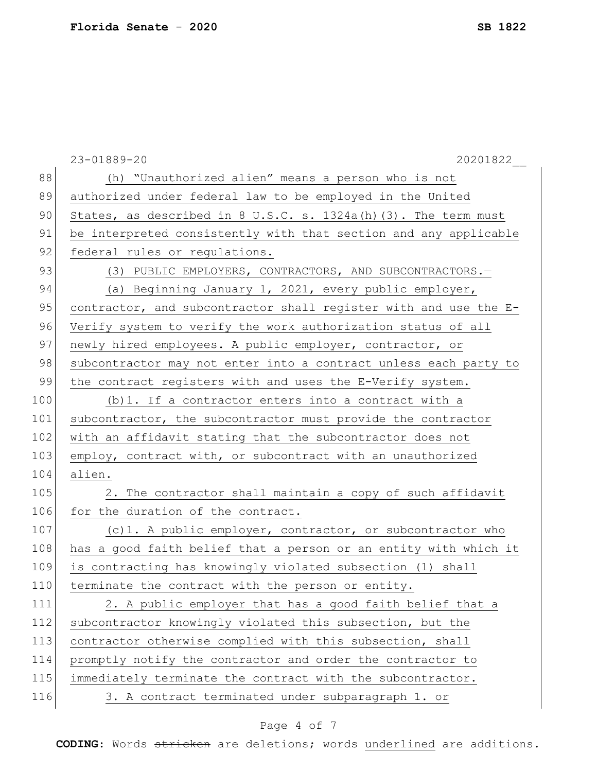|     | 20201822<br>23-01889-20                                           |
|-----|-------------------------------------------------------------------|
| 88  | (h) "Unauthorized alien" means a person who is not                |
| 89  | authorized under federal law to be employed in the United         |
| 90  | States, as described in 8 U.S.C. s. $1324a(h)$ (3). The term must |
| 91  | be interpreted consistently with that section and any applicable  |
| 92  | federal rules or regulations.                                     |
| 93  | (3) PUBLIC EMPLOYERS, CONTRACTORS, AND SUBCONTRACTORS.-           |
| 94  | (a) Beginning January 1, 2021, every public employer,             |
| 95  | contractor, and subcontractor shall register with and use the E-  |
| 96  | Verify system to verify the work authorization status of all      |
| 97  | newly hired employees. A public employer, contractor, or          |
| 98  | subcontractor may not enter into a contract unless each party to  |
| 99  | the contract registers with and uses the E-Verify system.         |
| 100 | (b) 1. If a contractor enters into a contract with a              |
| 101 | subcontractor, the subcontractor must provide the contractor      |
| 102 | with an affidavit stating that the subcontractor does not         |
| 103 | employ, contract with, or subcontract with an unauthorized        |
| 104 | alien.                                                            |
| 105 | 2. The contractor shall maintain a copy of such affidavit         |
| 106 | for the duration of the contract.                                 |
| 107 | (c) 1. A public employer, contractor, or subcontractor who        |
| 108 | has a good faith belief that a person or an entity with which it  |
| 109 | is contracting has knowingly violated subsection (1) shall        |
| 110 | terminate the contract with the person or entity.                 |
| 111 | 2. A public employer that has a good faith belief that a          |
| 112 | subcontractor knowingly violated this subsection, but the         |
| 113 | contractor otherwise complied with this subsection, shall         |
| 114 | promptly notify the contractor and order the contractor to        |
| 115 | immediately terminate the contract with the subcontractor.        |
| 116 | 3. A contract terminated under subparagraph 1. or                 |

# Page 4 of 7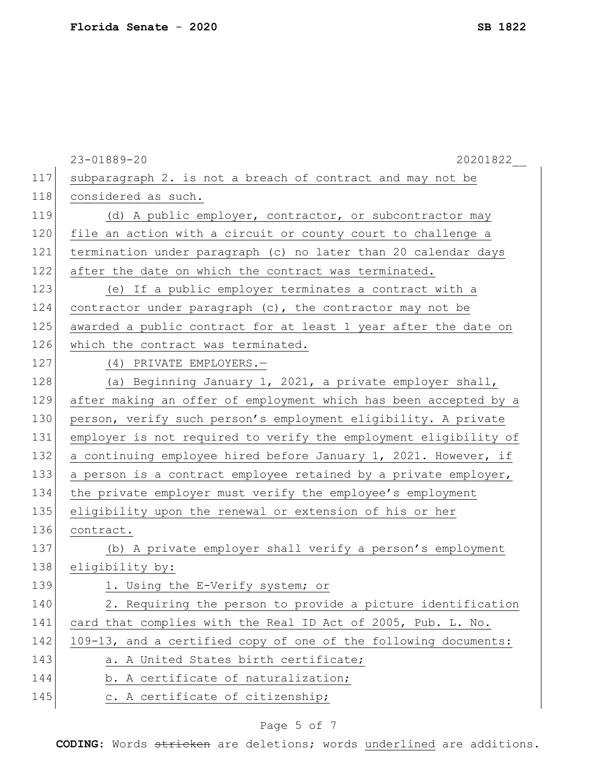|     | 20201822<br>23-01889-20                                          |
|-----|------------------------------------------------------------------|
| 117 | subparagraph 2. is not a breach of contract and may not be       |
| 118 | considered as such.                                              |
| 119 | (d) A public employer, contractor, or subcontractor may          |
| 120 | file an action with a circuit or county court to challenge a     |
| 121 | termination under paragraph (c) no later than 20 calendar days   |
| 122 | after the date on which the contract was terminated.             |
| 123 | (e) If a public employer terminates a contract with a            |
| 124 | contractor under paragraph $(c)$ , the contractor may not be     |
| 125 | awarded a public contract for at least 1 year after the date on  |
| 126 | which the contract was terminated.                               |
| 127 | (4) PRIVATE EMPLOYERS.-                                          |
| 128 | (a) Beginning January 1, 2021, a private employer shall,         |
| 129 | after making an offer of employment which has been accepted by a |
| 130 | person, verify such person's employment eligibility. A private   |
| 131 | employer is not required to verify the employment eligibility of |
| 132 | a continuing employee hired before January 1, 2021. However, if  |
| 133 | a person is a contract employee retained by a private employer,  |
| 134 | the private employer must verify the employee's employment       |
| 135 | eligibility upon the renewal or extension of his or her          |
| 136 | contract.                                                        |
| 137 | (b) A private employer shall verify a person's employment        |
| 138 | eligibility by:                                                  |
| 139 | 1. Using the E-Verify system; or                                 |
| 140 | 2. Requiring the person to provide a picture identification      |
| 141 | card that complies with the Real ID Act of 2005, Pub. L. No.     |
| 142 | 109-13, and a certified copy of one of the following documents:  |
| 143 | a. A United States birth certificate;                            |
| 144 | b. A certificate of naturalization;                              |
| 145 | c. A certificate of citizenship;                                 |
|     |                                                                  |

# Page 5 of 7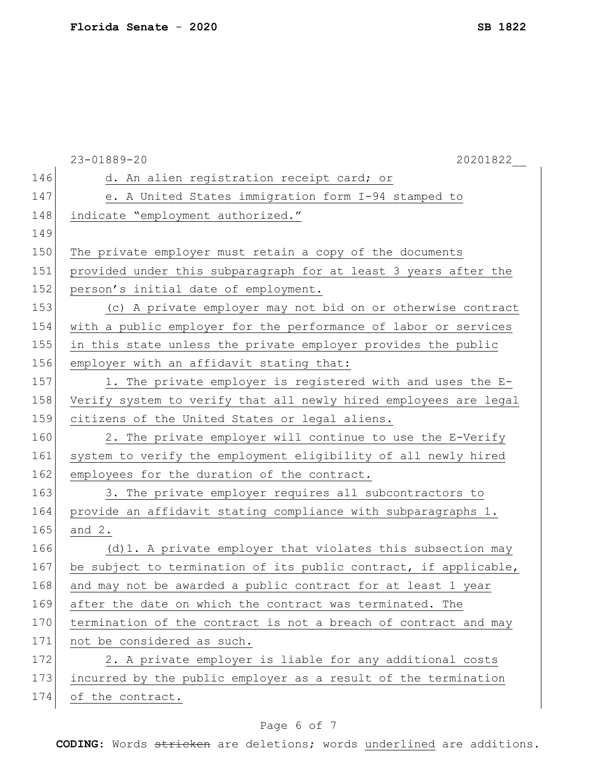|     | 20201822<br>23-01889-20                                          |
|-----|------------------------------------------------------------------|
| 146 | d. An alien registration receipt card; or                        |
| 147 | e. A United States immigration form I-94 stamped to              |
| 148 | indicate "employment authorized."                                |
| 149 |                                                                  |
| 150 | The private employer must retain a copy of the documents         |
| 151 | provided under this subparagraph for at least 3 years after the  |
| 152 | person's initial date of employment.                             |
| 153 | (c) A private employer may not bid on or otherwise contract      |
| 154 | with a public employer for the performance of labor or services  |
| 155 | in this state unless the private employer provides the public    |
| 156 | employer with an affidavit stating that:                         |
| 157 | 1. The private employer is registered with and uses the E-       |
| 158 | Verify system to verify that all newly hired employees are legal |
| 159 | citizens of the United States or legal aliens.                   |
| 160 | 2. The private employer will continue to use the E-Verify        |
| 161 | system to verify the employment eligibility of all newly hired   |
| 162 | employees for the duration of the contract.                      |
| 163 | 3. The private employer requires all subcontractors to           |
| 164 | provide an affidavit stating compliance with subparagraphs 1.    |
| 165 | and $2$ .                                                        |
| 166 | (d) 1. A private employer that violates this subsection may      |
| 167 | be subject to termination of its public contract, if applicable, |
| 168 | and may not be awarded a public contract for at least 1 year     |
| 169 | after the date on which the contract was terminated. The         |
| 170 | termination of the contract is not a breach of contract and may  |
| 171 | not be considered as such.                                       |
| 172 | 2. A private employer is liable for any additional costs         |
| 173 | incurred by the public employer as a result of the termination   |
| 174 | of the contract.                                                 |

# Page 6 of 7